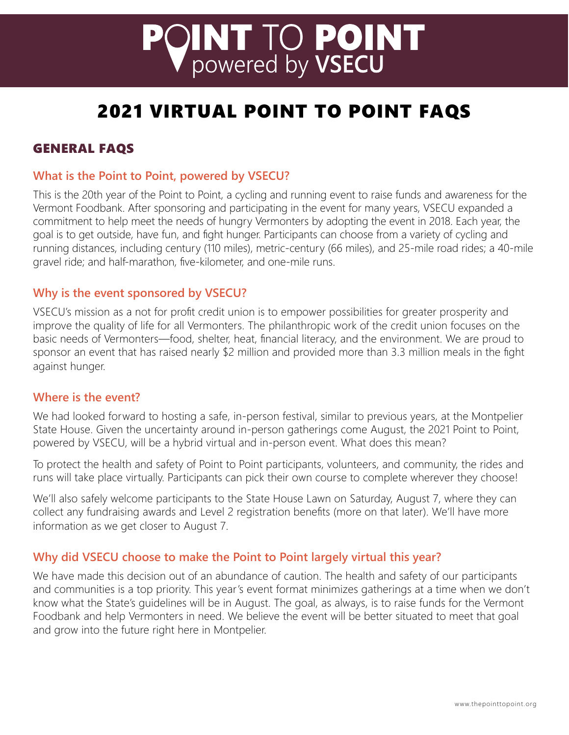# **PQINT TO POINT**

# 2021 VIRTUAL POINT TO POINT FAQS

# GENERAL FAQS

#### **What is the Point to Point, powered by VSECU?**

This is the 20th year of the Point to Point, a cycling and running event to raise funds and awareness for the Vermont Foodbank. After sponsoring and participating in the event for many years, VSECU expanded a commitment to help meet the needs of hungry Vermonters by adopting the event in 2018. Each year, the goal is to get outside, have fun, and fight hunger. Participants can choose from a variety of cycling and running distances, including century (110 miles), metric-century (66 miles), and 25-mile road rides; a 40-mile gravel ride; and half-marathon, five-kilometer, and one-mile runs.

#### **Why is the event sponsored by VSECU?**

VSECU's mission as a not for profit credit union is to empower possibilities for greater prosperity and improve the quality of life for all Vermonters. The philanthropic work of the credit union focuses on the basic needs of Vermonters—food, shelter, heat, financial literacy, and the environment. We are proud to sponsor an event that has raised nearly \$2 million and provided more than 3.3 million meals in the fight against hunger.

#### **Where is the event?**

We had looked forward to hosting a safe, in-person festival, similar to previous years, at the Montpelier State House. Given the uncertainty around in-person gatherings come August, the 2021 Point to Point, powered by VSECU, will be a hybrid virtual and in-person event. What does this mean?

To protect the health and safety of Point to Point participants, volunteers, and community, the rides and runs will take place virtually. Participants can pick their own course to complete wherever they choose!

We'll also safely welcome participants to the State House Lawn on Saturday, August 7, where they can collect any fundraising awards and Level 2 registration benefits (more on that later). We'll have more information as we get closer to August 7.

#### **Why did VSECU choose to make the Point to Point largely virtual this year?**

We have made this decision out of an abundance of caution. The health and safety of our participants and communities is a top priority. This year's event format minimizes gatherings at a time when we don't know what the State's guidelines will be in August. The goal, as always, is to raise funds for the Vermont Foodbank and help Vermonters in need. We believe the event will be better situated to meet that goal and grow into the future right here in Montpelier.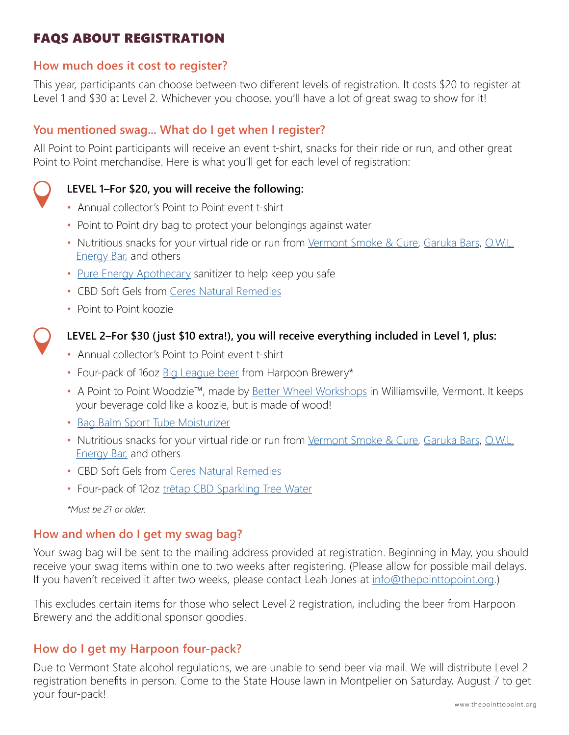# FAQS ABOUT REGISTRATION

#### **How much does it cost to register?**

This year, participants can choose between two different levels of registration. It costs \$20 to register at Level 1 and \$30 at Level 2. Whichever you choose, you'll have a lot of great swag to show for it!

#### **You mentioned swag... What do I get when I register?**

All Point to Point participants will receive an event t-shirt, snacks for their ride or run, and other great Point to Point merchandise. Here is what you'll get for each level of registration:

#### **LEVEL 1–For \$20, you will receive the following:**

- Annual collector's Point to Point event t-shirt
- Point to Point dry bag to protect your belongings against water
- Nutritious snacks for your virtual ride or run from [Vermont Smoke & Cure](https://store.vermontsmokeandcure.com/), [Garuka Bars](https://garukabars.com/), [O.W.L.](https://www.owlenergybar.com/)  [Energy Bar,](https://www.owlenergybar.com/) and others
- [Pure Energy Apothecary](https://www.pureenergybody.com/) sanitizer to help keep you safe
- CBD Soft Gels from [Ceres Natural Remedies](https://ceresremedies.com/)
- Point to Point koozie



#### **LEVEL 2–For \$30 (just \$10 extra!), you will receive everything included in Level 1, plus:**

- Annual collector's Point to Point event t-shirt
- Four-pack of 16oz [Big League beer](https://www.harpoonbrewery.com/beer/big-league/) from Harpoon Brewery\*
- A Point to Point Woodzie™, made by [Better Wheel Workshops](https://betterwheelvt.com/) in Williamsville, Vermont. It keeps your beverage cold like a koozie, but is made of wood!
- [Bag Balm Sport Tube Moisturizer](https://bagbalm.com/collections/all/products/sport-tube-moisturizer-1)
- Nutritious snacks for your virtual ride or run from [Vermont Smoke & Cure](https://store.vermontsmokeandcure.com/), [Garuka Bars](https://garukabars.com/), [O.W.L.](https://www.owlenergybar.com/)  [Energy Bar,](https://www.owlenergybar.com/) and others
- CBD Soft Gels from [Ceres Natural Remedies](https://ceresremedies.com/)
- Four-pack of 12oz [trētap CBD Sparkling Tree Water](https://www.tretap.com/)

*\*Must be 21 or older.* 

#### **How and when do I get my swag bag?**

Your swag bag will be sent to the mailing address provided at registration. Beginning in May, you should receive your swag items within one to two weeks after registering. (Please allow for possible mail delays. If you haven't received it after two weeks, please contact Leah Jones at [info@thepointtopoint.org.](mailto:info%40thepointtopoint.org?subject=Swag%20Bag%20Question))

This excludes certain items for those who select Level 2 registration, including the beer from Harpoon Brewery and the additional sponsor goodies.

#### **How do I get my Harpoon four-pack?**

Due to Vermont State alcohol regulations, we are unable to send beer via mail. We will distribute Level 2 registration benefits in person. Come to the State House lawn in Montpelier on Saturday, August 7 to get your four-pack!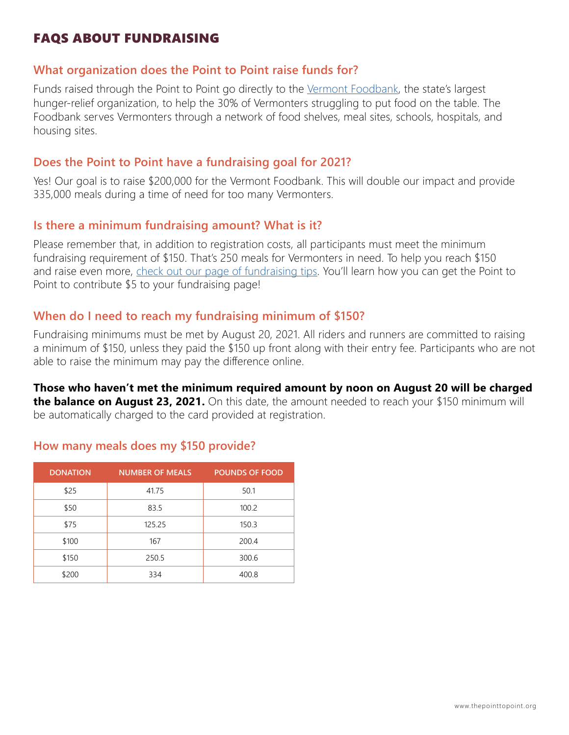### FAQS ABOUT FUNDRAISING

#### **What organization does the Point to Point raise funds for?**

Funds raised through the Point to Point go directly to the [Vermont Foodbank,](https://www.vtfoodbank.org/) the state's largest hunger-relief organization, to help the 30% of Vermonters struggling to put food on the table. The Foodbank serves Vermonters through a network of food shelves, meal sites, schools, hospitals, and housing sites.

#### **Does the Point to Point have a fundraising goal for 2021?**

Yes! Our goal is to raise \$200,000 for the Vermont Foodbank. This will double our impact and provide 335,000 meals during a time of need for too many Vermonters.

#### **Is there a minimum fundraising amount? What is it?**

Please remember that, in addition to registration costs, all participants must meet the minimum fundraising requirement of \$150. That's 250 meals for Vermonters in need. To help you reach \$150 and raise even more, [check out our page of fundraising tips](https://www.thepointtopoint.org/fundraising-tips). You'll learn how you can get the Point to Point to contribute \$5 to your fundraising page!

#### **When do I need to reach my fundraising minimum of \$150?**

Fundraising minimums must be met by August 20, 2021. All riders and runners are committed to raising a minimum of \$150, unless they paid the \$150 up front along with their entry fee. Participants who are not able to raise the minimum may pay the difference online.

**Those who haven't met the minimum required amount by noon on August 20 will be charged the balance on August 23, 2021.** On this date, the amount needed to reach your \$150 minimum will be automatically charged to the card provided at registration.

| <b>DONATION</b> | <b>NUMBER OF MEALS</b> | <b>POUNDS OF FOOD</b> |
|-----------------|------------------------|-----------------------|
| \$25            | 41.75                  | 50.1                  |
| \$50            | 83.5                   | 100.2                 |
| \$75            | 125.25                 | 150.3                 |
| \$100           | 167                    | 200.4                 |
| \$150           | 250.5                  | 300.6                 |
| \$200           | 334                    | 400.8                 |

#### **How many meals does my \$150 provide?**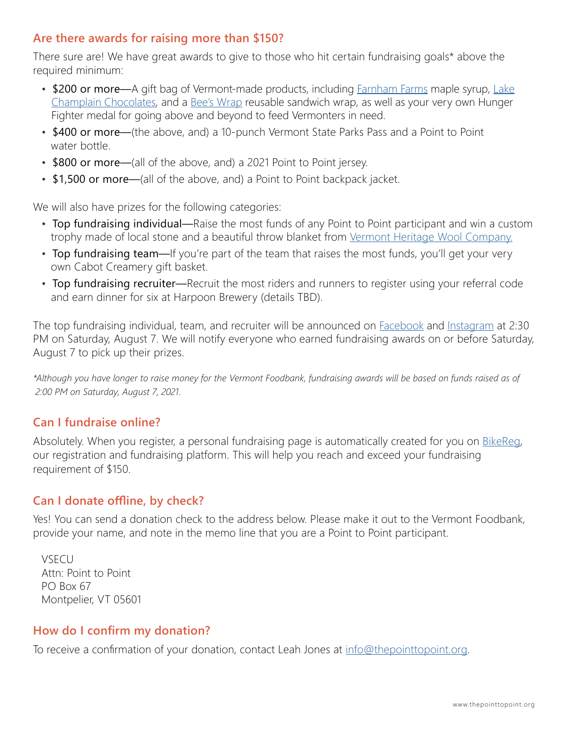#### **Are there awards for raising more than \$150?**

There sure are! We have great awards to give to those who hit certain fundraising goals\* above the required minimum:

- \$200 or more—A gift bag of Vermont-made products, including **Farnham Farms maple syrup**, [Lake](https://www.lakechamplainchocolates.com/)  [Champlain Chocolates,](https://www.lakechamplainchocolates.com/) and a [Bee's Wrap](https://www.beeswrap.com/) reusable sandwich wrap, as well as your very own Hunger Fighter medal for going above and beyond to feed Vermonters in need.
- \$400 or more—(the above, and) a 10-punch Vermont State Parks Pass and a Point to Point water bottle.
- \$800 or more—(all of the above, and) a 2021 Point to Point jersey.
- \$1,500 or more—(all of the above, and) a Point to Point backpack jacket.

We will also have prizes for the following categories:

- Top fundraising individual—Raise the most funds of any Point to Point participant and win a custom trophy made of local stone and a beautiful throw blanket from [Vermont Heritage Wool Company.](https://www.vermontheritagewool.com/product-info/233/evelyn-throw)
- Top fundraising team—If you're part of the team that raises the most funds, you'll get your very own Cabot Creamery gift basket.
- Top fundraising recruiter—Recruit the most riders and runners to register using your referral code and earn dinner for six at Harpoon Brewery (details TBD).

The top fundraising individual, team, and recruiter will be announced on **Facebook** and [Instagram](https://www.instagram.com/vsecu) at 2:30 PM on Saturday, August 7. We will notify everyone who earned fundraising awards on or before Saturday, August 7 to pick up their prizes.

*\*Although you have longer to raise money for the Vermont Foodbank, fundraising awards will be based on funds raised as of 2:00 PM on Saturday, August 7, 2021.*

#### **Can I fundraise online?**

Absolutely. When you register, a personal fundraising page is automatically created for you on **[BikeReg](https://www.thepointtopoint.org/register?hsCtaTracking=3b2503ea-3d24-4c39-abfa-be92997b5e94%7C7cd6c9b2-3017-48c0-90af-2b44f45279f6)**, our registration and fundraising platform. This will help you reach and exceed your fundraising requirement of \$150.

#### **Can I donate offline, by check?**

Yes! You can send a donation check to the address below. Please make it out to the Vermont Foodbank, provide your name, and note in the memo line that you are a Point to Point participant.

VSECU Attn: Point to Point PO Box 67 Montpelier, VT 05601

#### **How do I confirm my donation?**

To receive a confirmation of your donation, contact Leah Jones at [info@thepointtopoint.org](mailto:info%40thepointtopoint.org?subject=).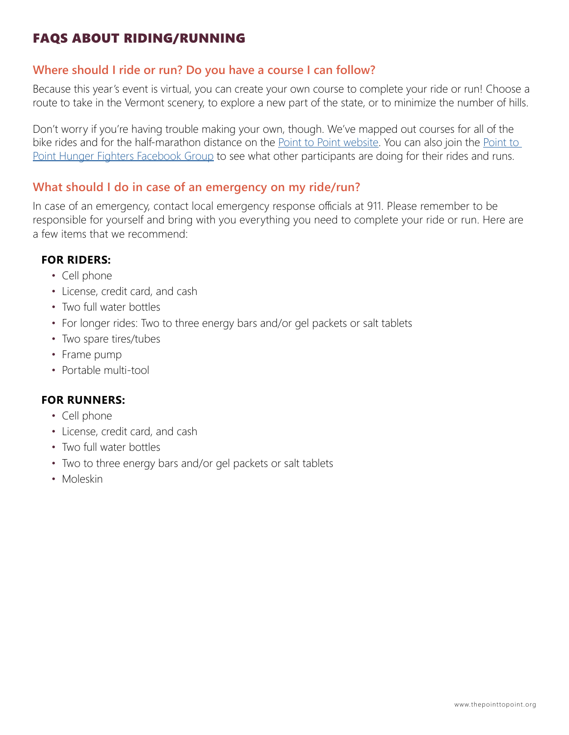# FAQS ABOUT RIDING/RUNNING

#### **Where should I ride or run? Do you have a course I can follow?**

Because this year's event is virtual, you can create your own course to complete your ride or run! Choose a route to take in the Vermont scenery, to explore a new part of the state, or to minimize the number of hills.

Don't worry if you're having trouble making your own, though. We've mapped out courses for all of the bike rides and for the half-marathon distance on the [Point to Point website](http://www.thepointtopoint.org). You can also join the Point to [Point Hunger Fighters Facebook Group](https://www.facebook.com/groups/PointToPointVT) to see what other participants are doing for their rides and runs.

#### **What should I do in case of an emergency on my ride/run?**

In case of an emergency, contact local emergency response officials at 911. Please remember to be responsible for yourself and bring with you everything you need to complete your ride or run. Here are a few items that we recommend:

#### **FOR RIDERS:**

- Cell phone
- License, credit card, and cash
- Two full water bottles
- For longer rides: Two to three energy bars and/or gel packets or salt tablets
- Two spare tires/tubes
- Frame pump
- Portable multi-tool

#### **FOR RUNNERS:**

- Cell phone
- License, credit card, and cash
- Two full water bottles
- Two to three energy bars and/or gel packets or salt tablets
- Moleskin